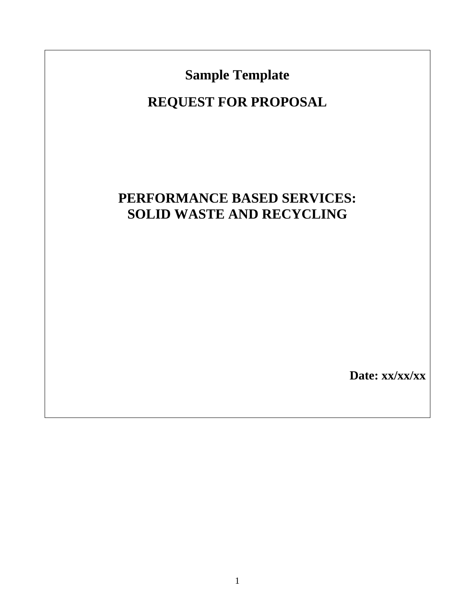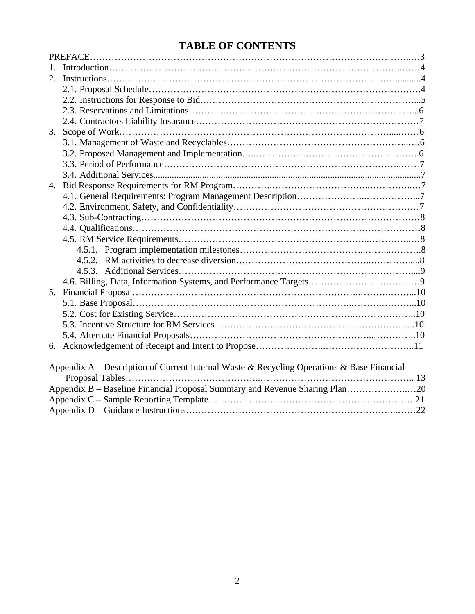# **TABLE OF CONTENTS**

| $2^{\circ}$ |                                                                                            |  |
|-------------|--------------------------------------------------------------------------------------------|--|
|             |                                                                                            |  |
|             |                                                                                            |  |
|             |                                                                                            |  |
|             |                                                                                            |  |
| 3.          |                                                                                            |  |
|             |                                                                                            |  |
|             |                                                                                            |  |
|             |                                                                                            |  |
|             |                                                                                            |  |
|             |                                                                                            |  |
|             |                                                                                            |  |
|             |                                                                                            |  |
|             |                                                                                            |  |
|             |                                                                                            |  |
|             |                                                                                            |  |
|             |                                                                                            |  |
|             |                                                                                            |  |
|             |                                                                                            |  |
|             |                                                                                            |  |
|             |                                                                                            |  |
|             |                                                                                            |  |
|             |                                                                                            |  |
|             |                                                                                            |  |
|             |                                                                                            |  |
|             |                                                                                            |  |
|             |                                                                                            |  |
|             | Appendix A - Description of Current Internal Waste & Recycling Operations & Base Financial |  |
|             |                                                                                            |  |
|             | Appendix B - Baseline Financial Proposal Summary and Revenue Sharing Plan20                |  |
|             |                                                                                            |  |
|             |                                                                                            |  |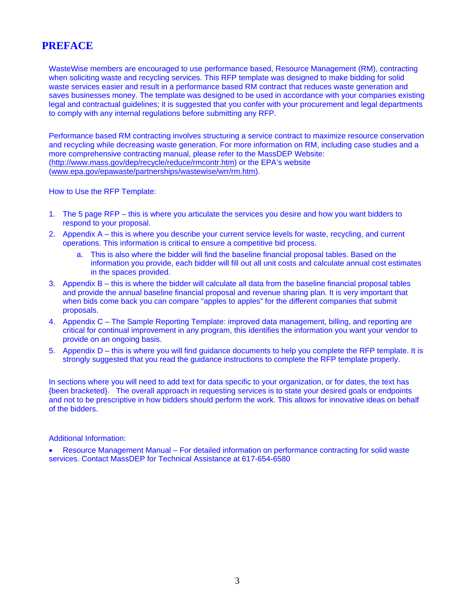# **PREFACE**

WasteWise members are encouraged to use performance based, Resource Management (RM), contracting when soliciting waste and recycling services. This RFP template was designed to make bidding for solid waste services easier and result in a performance based RM contract that reduces waste generation and saves businesses money. The template was designed to be used in accordance with your companies existing legal and contractual guidelines; it is suggested that you confer with your procurement and legal departments to comply with any internal regulations before submitting any RFP.

Performance based RM contracting involves structuring a service contract to maximize resource conservation and recycling while decreasing waste generation. For more information on RM, including case studies and a more comprehensive contracting manual, please refer to the MassDEP Website: (http://www.mass.gov/dep/recycle/reduce/rmcontr.htm) or the EPA's website (www.epa.gov/epawaste/partnerships/wastewise/wrr/rm.htm).

How to Use the RFP Template:

- 1. The 5 page RFP this is where you articulate the services you desire and how you want bidders to respond to your proposal.
- 2. Appendix A this is where you describe your current service levels for waste, recycling, and current operations. This information is critical to ensure a competitive bid process.
	- a. This is also where the bidder will find the baseline financial proposal tables. Based on the information you provide, each bidder will fill out all unit costs and calculate annual cost estimates in the spaces provided.
- 3. Appendix B this is where the bidder will calculate all data from the baseline financial proposal tables and provide the annual baseline financial proposal and revenue sharing plan. It is very important that when bids come back you can compare "apples to apples" for the different companies that submit proposals.
- 4. Appendix C The Sample Reporting Template: improved data management, billing, and reporting are critical for continual improvement in any program, this identifies the information you want your vendor to provide on an ongoing basis.
- 5. Appendix D this is where you will find guidance documents to help you complete the RFP template. It is strongly suggested that you read the guidance instructions to complete the RFP template properly.

In sections where you will need to add text for data specific to your organization, or for dates, the text has {been bracketed}. The overall approach in requesting services is to state your desired goals or endpoints and not to be prescriptive in how bidders should perform the work. This allows for innovative ideas on behalf of the bidders.

Additional Information:

• Resource Management Manual – For detailed information on performance contracting for solid waste services. Contact MassDEP for Technical Assistance at 617-654-6580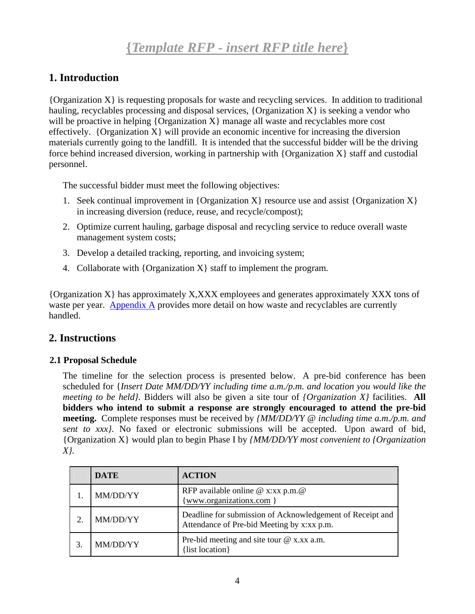# **1. Introduction**

 ${O}$  (Organization X is requesting proposals for waste and recycling services. In addition to traditional hauling, recyclables processing and disposal services, { $Organization X$ } is seeking a vendor who will be proactive in helping  ${Organization X}$  manage all waste and recyclables more cost effectively. {Organization  $X$ } will provide an economic incentive for increasing the diversion materials currently going to the landfill. It is intended that the successful bidder will be the driving force behind increased diversion, working in partnership with {Organization X} staff and custodial personnel.

The successful bidder must meet the following objectives:

- 1. Seek continual improvement in {Organization X} resource use and assist {Organization X} in increasing diversion (reduce, reuse, and recycle/compost);
- 2. Optimize current hauling, garbage disposal and recycling service to reduce overall waste management system costs;
- 3. Develop a detailed tracking, reporting, and invoicing system;
- 4. Collaborate with {Organization X} staff to implement the program.

{Organization X} has approximately X,XXX employees and generates approximately XXX tons of waste per year. Appendix A provides more detail on how waste and recyclables are currently handled.

# **2. Instructions**

## **2.1 Proposal Schedule**

The timeline for the selection process is presented below. A pre-bid conference has been scheduled for {*Insert Date MM/DD/YY including time a.m./p.m. and location you would like the meeting to be held}.* Bidders will also be given a site tour of *{Organization X}* facilities. **All bidders who intend to submit a response are strongly encouraged to attend the pre-bid meeting.** Complete responses must be received by *{MM/DD/YY @ including time a.m./p.m. and sent to xxx}*. No faxed or electronic submissions will be accepted. Upon award of bid, {Organization X} would plan to begin Phase I by *{MM/DD/YY most convenient to {Organization X}.* 

| <b>DATE</b> | <b>ACTION</b>                                                                                           |
|-------------|---------------------------------------------------------------------------------------------------------|
| MM/DD/YY    | RFP available online $@x:xx p.m. @$<br>www.organizationx.com }                                          |
| MM/DD/YY    | Deadline for submission of Acknowledgement of Receipt and<br>Attendance of Pre-bid Meeting by x:xx p.m. |
| MM/DD/YY    | Pre-bid meeting and site tour $@x.xx.a.m.$<br>list location }                                           |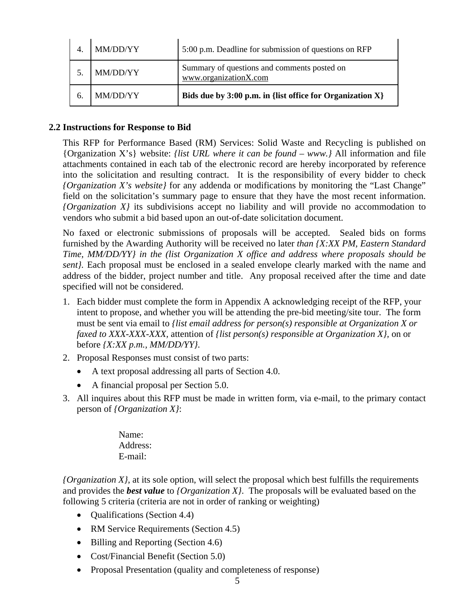|    | MM/DD/YY | 5:00 p.m. Deadline for submission of questions on RFP                |
|----|----------|----------------------------------------------------------------------|
|    | MM/DD/YY | Summary of questions and comments posted on<br>www.organizationX.com |
| 6. | MM/DD/YY | Bids due by 3:00 p.m. in {list office for Organization X}            |

### **2.2 Instructions for Response to Bid**

This RFP for Performance Based (RM) Services: Solid Waste and Recycling is published on {Organization X's} website: *{list URL where it can be found – www.}* All information and file attachments contained in each tab of the electronic record are hereby incorporated by reference into the solicitation and resulting contract. It is the responsibility of every bidder to check *{Organization X's website}* for any addenda or modifications by monitoring the "Last Change" field on the solicitation's summary page to ensure that they have the most recent information. *{Organization X}* its subdivisions accept no liability and will provide no accommodation to vendors who submit a bid based upon an out-of-date solicitation document.

No faxed or electronic submissions of proposals will be accepted. Sealed bids on forms furnished by the Awarding Authority will be received no later *than {X:XX PM, Eastern Standard Time, MM/DD/YY} in the (list Organization X office and address where proposals should be sent}.* Each proposal must be enclosed in a sealed envelope clearly marked with the name and address of the bidder, project number and title. Any proposal received after the time and date specified will not be considered.

- 1. Each bidder must complete the form in Appendix A acknowledging receipt of the RFP, your intent to propose, and whether you will be attending the pre-bid meeting/site tour. The form must be sent via email to *{list email address for person(s) responsible at Organization X or faxed to XXX-XXX-XXX,* attention of *{list person(s) responsible at Organization X},* on or before *{X:XX p.m., MM/DD/YY}.*
- 2. Proposal Responses must consist of two parts:
	- A text proposal addressing all parts of Section 4.0.
	- A financial proposal per Section 5.0.
- 3. All inquires about this RFP must be made in written form, via e-mail, to the primary contact person of *{Organization X}*:

Name: Address: E-mail:

*{Organization X}*, at its sole option, will select the proposal which best fulfills the requirements and provides the *best value* to *{Organization X}*. The proposals will be evaluated based on the following 5 criteria (criteria are not in order of ranking or weighting)

- Qualifications (Section 4.4)
- RM Service Requirements (Section 4.5)
- Billing and Reporting (Section 4.6)
- Cost/Financial Benefit (Section 5.0)
- Proposal Presentation (quality and completeness of response)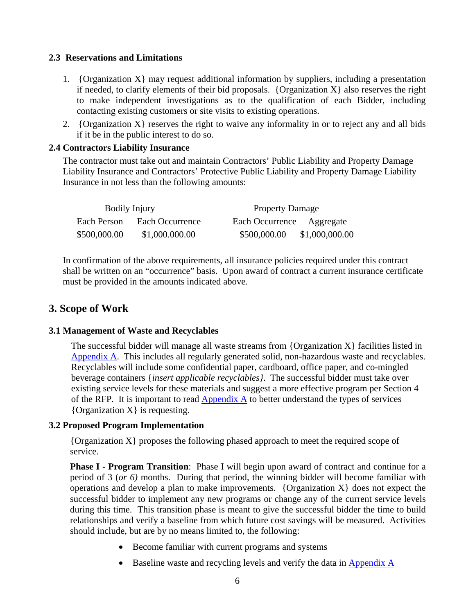### **2.3 Reservations and Limitations**

- 1. {Organization  $X$ } may request additional information by suppliers, including a presentation if needed, to clarify elements of their bid proposals. {Organization  $X$ } also reserves the right to make independent investigations as to the qualification of each Bidder, including contacting existing customers or site visits to existing operations.
- 2. {Organization  $X$ } reserves the right to waive any informality in or to reject any and all bids if it be in the public interest to do so.

### **2.4 Contractors Liability Insurance**

The contractor must take out and maintain Contractors' Public Liability and Property Damage Liability Insurance and Contractors' Protective Public Liability and Property Damage Liability Insurance in not less than the following amounts:

| <b>Bodily Injury</b> |                 | <b>Property Damage</b>         |
|----------------------|-----------------|--------------------------------|
| Each Person          | Each Occurrence | Each Occurrence Aggregate      |
| \$500,000.00         | \$1,000.000.00  | \$500,000.00<br>\$1,000,000.00 |

In confirmation of the above requirements, all insurance policies required under this contract shall be written on an "occurrence" basis. Upon award of contract a current insurance certificate must be provided in the amounts indicated above.

# **3. Scope of Work**

#### **3.1 Management of Waste and Recyclables**

The successful bidder will manage all waste streams from  ${Organization X}$  facilities listed in Appendix A. This includes all regularly generated solid, non-hazardous waste and recyclables. Recyclables will include some confidential paper, cardboard, office paper, and co-mingled beverage containers {*insert applicable recyclables}*. The successful bidder must take over existing service levels for these materials and suggest a more effective program per Section 4 of the RFP. It is important to read  $\Delta$ ppendix  $\Delta$  to better understand the types of services {Organization X} is requesting.

#### **3.2 Proposed Program Implementation**

{Organization X} proposes the following phased approach to meet the required scope of service.

**Phase I - Program Transition**: Phase I will begin upon award of contract and continue for a period of 3 (*or 6)* months. During that period, the winning bidder will become familiar with operations and develop a plan to make improvements. {Organization  $X$ } does not expect the successful bidder to implement any new programs or change any of the current service levels during this time. This transition phase is meant to give the successful bidder the time to build relationships and verify a baseline from which future cost savings will be measured. Activities should include, but are by no means limited to, the following:

- Become familiar with current programs and systems
- Baseline waste and recycling levels and verify the data in Appendix A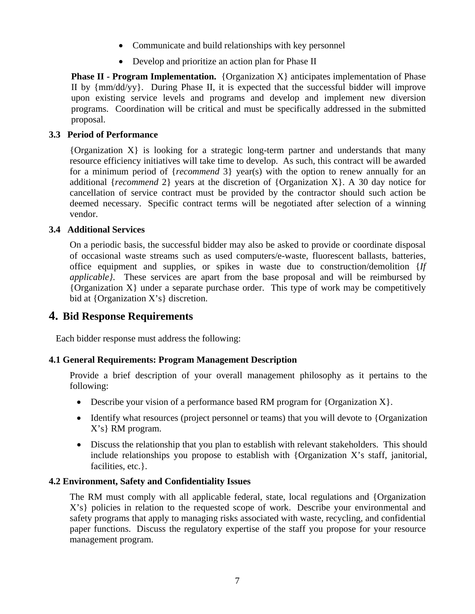- Communicate and build relationships with key personnel
- Develop and prioritize an action plan for Phase II

**Phase II - Program Implementation.** {Organization X} anticipates implementation of Phase II by {mm/dd/yy}. During Phase II, it is expected that the successful bidder will improve upon existing service levels and programs and develop and implement new diversion programs. Coordination will be critical and must be specifically addressed in the submitted proposal.

### **3.3 Period of Performance**

{Organization X} is looking for a strategic long-term partner and understands that many resource efficiency initiatives will take time to develop. As such, this contract will be awarded for a minimum period of {*recommend* 3} year(s) with the option to renew annually for an additional {*recommend* 2} years at the discretion of {Organization X}. A 30 day notice for cancellation of service contract must be provided by the contractor should such action be deemed necessary. Specific contract terms will be negotiated after selection of a winning vendor.

### **3.4 Additional Services**

On a periodic basis, the successful bidder may also be asked to provide or coordinate disposal of occasional waste streams such as used computers/e-waste, fluorescent ballasts, batteries, office equipment and supplies, or spikes in waste due to construction/demolition {*If applicable}*. These services are apart from the base proposal and will be reimbursed by  ${O}$ rganization X under a separate purchase order. This type of work may be competitively bid at {Organization X's} discretion.

## **4. Bid Response Requirements**

Each bidder response must address the following:

### **4.1 General Requirements: Program Management Description**

Provide a brief description of your overall management philosophy as it pertains to the following:

- Describe your vision of a performance based RM program for  ${Organization X}$ .
- Identify what resources (project personnel or teams) that you will devote to {Organization X's} RM program.
- Discuss the relationship that you plan to establish with relevant stakeholders. This should include relationships you propose to establish with {Organization X's staff, janitorial, facilities, etc.}.

#### **4.2 Environment, Safety and Confidentiality Issues**

The RM must comply with all applicable federal, state, local regulations and {Organization X's} policies in relation to the requested scope of work. Describe your environmental and safety programs that apply to managing risks associated with waste, recycling, and confidential paper functions. Discuss the regulatory expertise of the staff you propose for your resource management program.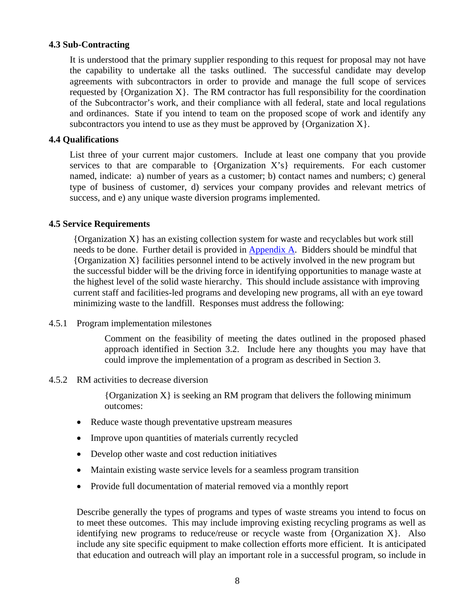#### **4.3 Sub-Contracting**

It is understood that the primary supplier responding to this request for proposal may not have the capability to undertake all the tasks outlined. The successful candidate may develop agreements with subcontractors in order to provide and manage the full scope of services requested by  ${Organization X}$ . The RM contractor has full responsibility for the coordination of the Subcontractor's work, and their compliance with all federal, state and local regulations and ordinances. State if you intend to team on the proposed scope of work and identify any subcontractors you intend to use as they must be approved by  ${Organization X}$ .

#### **4.4 Qualifications**

List three of your current major customers. Include at least one company that you provide services to that are comparable to  ${Organization X's}$  requirements. For each customer named, indicate: a) number of years as a customer; b) contact names and numbers; c) general type of business of customer, d) services your company provides and relevant metrics of success, and e) any unique waste diversion programs implemented.

#### **4.5 Service Requirements**

{Organization X} has an existing collection system for waste and recyclables but work still needs to be done. Further detail is provided in Appendix A. Bidders should be mindful that {Organization X} facilities personnel intend to be actively involved in the new program but the successful bidder will be the driving force in identifying opportunities to manage waste at the highest level of the solid waste hierarchy. This should include assistance with improving current staff and facilities-led programs and developing new programs, all with an eye toward minimizing waste to the landfill. Responses must address the following:

4.5.1 Program implementation milestones

Comment on the feasibility of meeting the dates outlined in the proposed phased approach identified in Section 3.2. Include here any thoughts you may have that could improve the implementation of a program as described in Section 3.

4.5.2 RM activities to decrease diversion

{Organization X} is seeking an RM program that delivers the following minimum outcomes:

- Reduce waste though preventative upstream measures
- Improve upon quantities of materials currently recycled
- Develop other waste and cost reduction initiatives
- Maintain existing waste service levels for a seamless program transition
- Provide full documentation of material removed via a monthly report

Describe generally the types of programs and types of waste streams you intend to focus on to meet these outcomes. This may include improving existing recycling programs as well as identifying new programs to reduce/reuse or recycle waste from {Organization  $X$ }. Also include any site specific equipment to make collection efforts more efficient. It is anticipated that education and outreach will play an important role in a successful program, so include in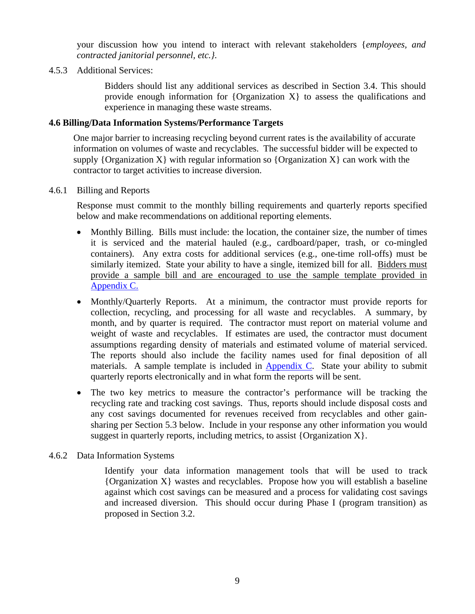your discussion how you intend to interact with relevant stakeholders {*employees, and contracted janitorial personnel, etc.}*.

#### 4.5.3 Additional Services:

Bidders should list any additional services as described in Section 3.4. This should provide enough information for {Organization X} to assess the qualifications and experience in managing these waste streams.

#### **4.6 Billing/Data Information Systems/Performance Targets**

One major barrier to increasing recycling beyond current rates is the availability of accurate information on volumes of waste and recyclables. The successful bidder will be expected to supply {Organization X} with regular information so {Organization X} can work with the contractor to target activities to increase diversion.

#### 4.6.1 Billing and Reports

Response must commit to the monthly billing requirements and quarterly reports specified below and make recommendations on additional reporting elements.

- Monthly Billing. Bills must include: the location, the container size, the number of times it is serviced and the material hauled (e.g., cardboard/paper, trash, or co-mingled containers). Any extra costs for additional services (e.g., one-time roll-offs) must be similarly itemized. State your ability to have a single, itemized bill for all. Bidders must provide a sample bill and are encouraged to use the sample template provided in Appendix C.
- Monthly/Quarterly Reports. At a minimum, the contractor must provide reports for collection, recycling, and processing for all waste and recyclables. A summary, by month, and by quarter is required. The contractor must report on material volume and weight of waste and recyclables. If estimates are used, the contractor must document assumptions regarding density of materials and estimated volume of material serviced. The reports should also include the facility names used for final deposition of all materials. A sample template is included in Appendix C. State your ability to submit quarterly reports electronically and in what form the reports will be sent.
- The two key metrics to measure the contractor's performance will be tracking the recycling rate and tracking cost savings. Thus, reports should include disposal costs and any cost savings documented for revenues received from recyclables and other gainsharing per Section 5.3 below. Include in your response any other information you would suggest in quarterly reports, including metrics, to assist  ${Organization X}$ .

#### 4.6.2 Data Information Systems

Identify your data information management tools that will be used to track {Organization X} wastes and recyclables. Propose how you will establish a baseline against which cost savings can be measured and a process for validating cost savings and increased diversion. This should occur during Phase I (program transition) as proposed in Section 3.2.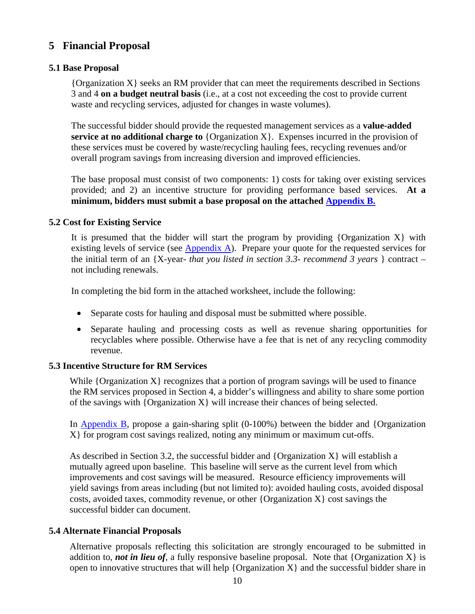# **5 Financial Proposal**

### **5.1 Base Proposal**

{Organization X} seeks an RM provider that can meet the requirements described in Sections 3 and 4 **on a budget neutral basis** (i.e., at a cost not exceeding the cost to provide current waste and recycling services, adjusted for changes in waste volumes).

The successful bidder should provide the requested management services as a **value-added service at no additional charge to** {Organization X}. Expenses incurred in the provision of these services must be covered by waste/recycling hauling fees, recycling revenues and/or overall program savings from increasing diversion and improved efficiencies.

The base proposal must consist of two components: 1) costs for taking over existing services provided; and 2) an incentive structure for providing performance based services. **At a minimum, bidders must submit a base proposal on the attached Appendix B.**

### **5.2 Cost for Existing Service**

It is presumed that the bidder will start the program by providing {Organization  $X$ } with existing levels of service (see Appendix A). Prepare your quote for the requested services for the initial term of an {X-year- *that you listed in section 3.3- recommend 3 years* } contract – not including renewals.

In completing the bid form in the attached worksheet, include the following:

- Separate costs for hauling and disposal must be submitted where possible.
- Separate hauling and processing costs as well as revenue sharing opportunities for recyclables where possible. Otherwise have a fee that is net of any recycling commodity revenue.

### **5.3 Incentive Structure for RM Services**

While  $\{Organization X\}$  recognizes that a portion of program savings will be used to finance the RM services proposed in Section 4, a bidder's willingness and ability to share some portion of the savings with  $\{Organization X\}$  will increase their chances of being selected.

In Appendix B, propose a gain-sharing split (0-100%) between the bidder and {Organization X} for program cost savings realized, noting any minimum or maximum cut-offs.

As described in Section 3.2, the successful bidder and  $\{Organization X\}$  will establish a mutually agreed upon baseline. This baseline will serve as the current level from which improvements and cost savings will be measured. Resource efficiency improvements will yield savings from areas including (but not limited to): avoided hauling costs, avoided disposal costs, avoided taxes, commodity revenue, or other  $\{Organization X\}$  cost savings the successful bidder can document.

### **5.4 Alternate Financial Proposals**

Alternative proposals reflecting this solicitation are strongly encouraged to be submitted in addition to, *not in lieu of*, a fully responsive baseline proposal. Note that  $\{Organization X\}$  is open to innovative structures that will help  ${Organization X}$  and the successful bidder share in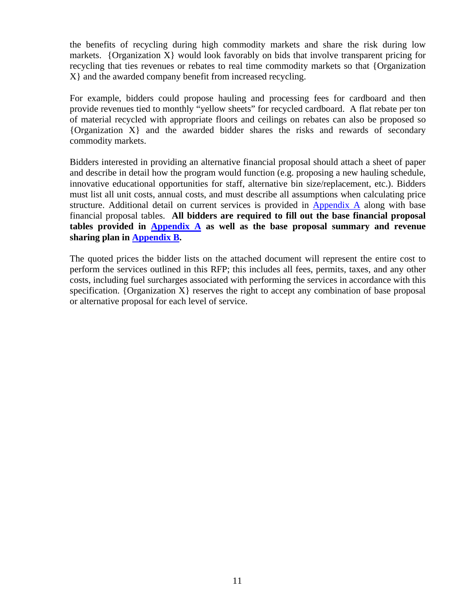the benefits of recycling during high commodity markets and share the risk during low markets. {Organization  $X$ } would look favorably on bids that involve transparent pricing for recycling that ties revenues or rebates to real time commodity markets so that {Organization X} and the awarded company benefit from increased recycling.

For example, bidders could propose hauling and processing fees for cardboard and then provide revenues tied to monthly "yellow sheets" for recycled cardboard. A flat rebate per ton of material recycled with appropriate floors and ceilings on rebates can also be proposed so {Organization X} and the awarded bidder shares the risks and rewards of secondary commodity markets.

Bidders interested in providing an alternative financial proposal should attach a sheet of paper and describe in detail how the program would function (e.g. proposing a new hauling schedule, innovative educational opportunities for staff, alternative bin size/replacement, etc.). Bidders must list all unit costs, annual costs, and must describe all assumptions when calculating price structure. Additional detail on current services is provided in Appendix A along with base financial proposal tables. **All bidders are required to fill out the base financial proposal tables provided in Appendix A as well as the base proposal summary and revenue sharing plan in Appendix B.** 

The quoted prices the bidder lists on the attached document will represent the entire cost to perform the services outlined in this RFP; this includes all fees, permits, taxes, and any other costs, including fuel surcharges associated with performing the services in accordance with this specification.  $\{Organization X\}$  reserves the right to accept any combination of base proposal or alternative proposal for each level of service.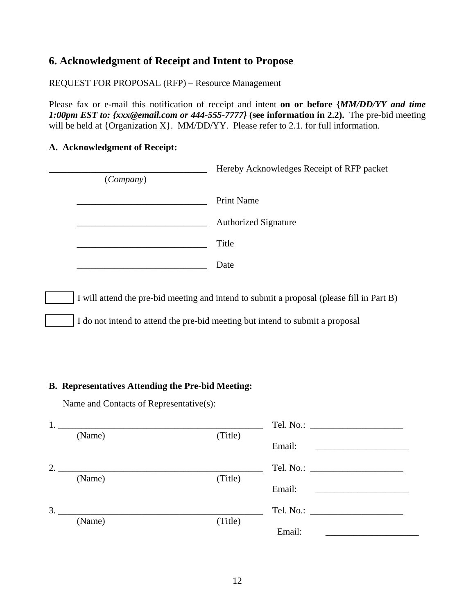# **6. Acknowledgment of Receipt and Intent to Propose**

REQUEST FOR PROPOSAL (RFP) – Resource Management

Please fax or e-mail this notification of receipt and intent **on or before {***MM/DD/YY and time 1:00pm EST to: {xxx@email.com or 444-555-7777}* **(see information in 2.2).** The pre-bid meeting will be held at {Organization X}. MM/DD/YY. Please refer to 2.1. for full information.

### **A. Acknowledgment of Receipt:**

| <i>(Company)</i> | Hereby Acknowledges Receipt of RFP packet                                                 |
|------------------|-------------------------------------------------------------------------------------------|
|                  | <b>Print Name</b>                                                                         |
|                  | <b>Authorized Signature</b>                                                               |
|                  | Title                                                                                     |
|                  | Date                                                                                      |
|                  | I will attend the pre-bid meeting and intend to submit a proposal (please fill in Part B) |
|                  | I do not intend to attend the pre-bid meeting but intend to submit a proposal             |

#### **B. Representatives Attending the Pre-bid Meeting:**

Name and Contacts of Representative(s):

| 1. |        |         |        |
|----|--------|---------|--------|
|    | (Name) | (Title) |        |
|    |        |         | Email: |
| 2. |        |         |        |
|    | (Name) | (Title) |        |
|    |        |         | Email: |
| 3. |        |         |        |
|    | (Name) | (Title) |        |
|    |        |         | Email: |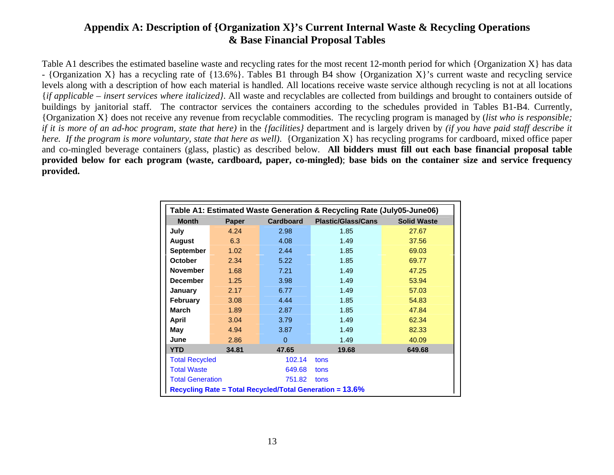# **Appendix A: Description of {Organization X}'s Current Internal Waste & Recycling Operations & Base Financial Proposal Tables**

Table A1 describes the estimated baseline waste and recycling rates for the most recent 12-month period for which {Organization X} has data - {Organization X} has a recycling rate of {13.6%}. Tables B1 through B4 show {Organization X}'s current waste and recycling service levels along with a description of how each material is handled. All locations receive waste service although recycling is not at all locations {*if applicable – insert services where italicized}*. All waste and recyclables are collected from buildings and brought to containers outside of buildings by janitorial staff. The contractor services the containers according to the schedules provided in Tables B1-B4. Currently, {Organization X} does not receive any revenue from recyclable commodities. The recycling program is managed by (*list who is responsible; if it is more of an ad-hoc program, state that here)* in the *{facilities}* department and is largely driven by *(if you have paid staff describe it here. If the program is more voluntary, state that here as well)*. {Organization X} has recycling programs for cardboard, mixed office paper and co-mingled beverage containers (glass, plastic) as described below. **All bidders must fill out each base financial proposal table provided below for each program (waste, cardboard, paper, co-mingled)**; **base bids on the container size and service frequency provided.**

| Table A1: Estimated Waste Generation & Recycling Rate (July05-June06) |       |                  |                                                          |                    |  |  |  |  |  |
|-----------------------------------------------------------------------|-------|------------------|----------------------------------------------------------|--------------------|--|--|--|--|--|
| <b>Month</b>                                                          | Paper | <b>Cardboard</b> | <b>Plastic/Glass/Cans</b>                                | <b>Solid Waste</b> |  |  |  |  |  |
| July                                                                  | 4.24  | 2.98             | 1.85                                                     | 27.67              |  |  |  |  |  |
| <b>August</b>                                                         | 6.3   | 4.08             | 1.49                                                     | 37.56              |  |  |  |  |  |
| <b>September</b>                                                      | 1.02  | 2.44             | 1.85                                                     | 69.03              |  |  |  |  |  |
| <b>October</b>                                                        | 2.34  | 5.22             | 1.85                                                     | 69.77              |  |  |  |  |  |
| <b>November</b>                                                       | 1.68  | 7.21             | 1.49                                                     | 47.25              |  |  |  |  |  |
| <b>December</b>                                                       | 1.25  | 3.98             | 1.49                                                     | 53.94              |  |  |  |  |  |
| January                                                               | 2.17  | 6.77             | 1.49                                                     | 57.03              |  |  |  |  |  |
| <b>February</b>                                                       | 3.08  | 4.44             | 1.85                                                     | 54.83              |  |  |  |  |  |
| <b>March</b>                                                          | 1.89  | 2.87             | 1.85                                                     | 47.84              |  |  |  |  |  |
| April                                                                 | 3.04  | 3.79             | 1.49                                                     | 62.34              |  |  |  |  |  |
| May                                                                   | 4.94  | 3.87             | 1.49                                                     | 82.33              |  |  |  |  |  |
| June                                                                  | 2.86  | $\Omega$         | 1.49                                                     | 40.09              |  |  |  |  |  |
| <b>YTD</b>                                                            | 34.81 | 47.65            | 19.68                                                    | 649.68             |  |  |  |  |  |
| <b>Total Recycled</b>                                                 |       | 102.14           | tons                                                     |                    |  |  |  |  |  |
| <b>Total Waste</b>                                                    |       | 649.68           | tons                                                     |                    |  |  |  |  |  |
| <b>Total Generation</b>                                               |       | 751.82           | tons                                                     |                    |  |  |  |  |  |
|                                                                       |       |                  | Recycling Rate = Total Recycled/Total Generation = 13.6% |                    |  |  |  |  |  |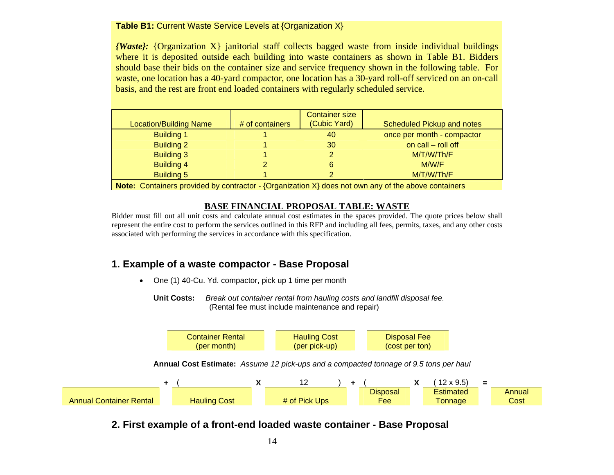#### **Table B1:** Current Waste Service Levels at {Organization X}

*{Waste}:* {Organization X} janitorial staff collects bagged waste from inside individual buildings where it is deposited outside each building into waste containers as shown in Table B1. Bidders should base their bids on the container size and service frequency shown in the following table. For waste, one location has a 40-yard compactor, one location has a 30-yard roll-off serviced on an on-call basis, and the rest are front end loaded containers with regularly scheduled service.

| <b>Location/Building Name</b> | # of containers | <b>Container size</b><br>(Cubic Yard) | Scheduled Pickup and notes |
|-------------------------------|-----------------|---------------------------------------|----------------------------|
| <b>Building 1</b>             |                 | 40                                    | once per month - compactor |
| <b>Building 2</b>             |                 | 30                                    | on call $-$ roll off       |
| <b>Building 3</b>             |                 |                                       | M/T/W/Th/F                 |
| <b>Building 4</b>             |                 | 6                                     | M/W/F                      |
| <b>Building 5</b>             |                 |                                       | M/T/W/Th/F                 |

**Note:** Containers provided by contractor - {Organization X} does not own any of the above containers

### **BASE FINANCIAL PROPOSAL TABLE: WASTE**

Bidder must fill out all unit costs and calculate annual cost estimates in the spaces provided. The quote prices below shall represent the entire cost to perform the services outlined in this RFP and including all fees, permits, taxes, and any other costs associated with performing the services in accordance with this specification.

# **1. Example of a waste compactor - Base Proposal**

• One (1) 40-Cu. Yd. compactor, pick up 1 time per month

**Unit Costs:** *Break out container rental from hauling costs and landfill disposal fee.*  (Rental fee must include maintenance and repair)



**2. First example of a front-end loaded waste container - Base Proposal**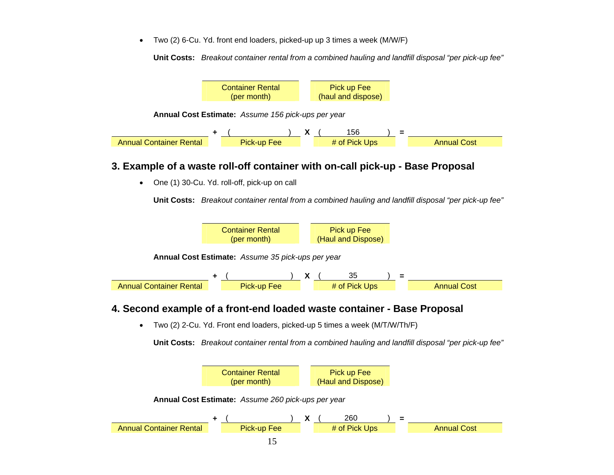• Two (2) 6-Cu. Yd. front end loaders, picked-up up 3 times a week (M/W/F)

**Unit Costs:** *Breakout container rental from a combined hauling and landfill disposal "per pick-up fee"* 



## **3. Example of a waste roll-off container with on-call pick-up - Base Proposal**

• One (1) 30-Cu. Yd. roll-off, pick-up on call

**Unit Costs:** *Breakout container rental from a combined hauling and landfill disposal "per pick-up fee"* 



# **4. Second example of a front-end loaded waste container - Base Proposal**

• Two (2) 2-Cu. Yd. Front end loaders, picked-up 5 times a week (M/T/W/Th/F)

**Unit Costs:** *Breakout container rental from a combined hauling and landfill disposal "per pick-up fee"* 

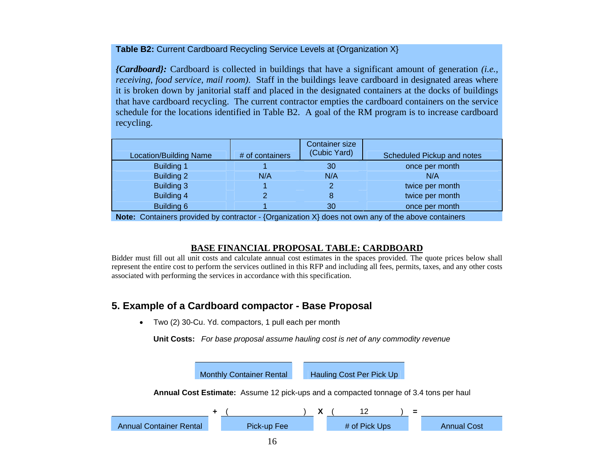#### **Table B2:** Current Cardboard Recycling Service Levels at {Organization X}

*{Cardboard}:* Cardboard is collected in buildings that have a significant amount of generation *(i.e., receiving, food service, mail room)*. Staff in the buildings leave cardboard in designated areas where it is broken down by janitorial staff and placed in the designated containers at the docks of buildings that have cardboard recycling. The current contractor empties the cardboard containers on the service schedule for the locations identified in Table B2. A goal of the RM program is to increase cardboard recycling.

| <b>Location/Building Name</b>                                                                     | # of containers | <b>Container size</b><br>(Cubic Yard) | Scheduled Pickup and notes |
|---------------------------------------------------------------------------------------------------|-----------------|---------------------------------------|----------------------------|
|                                                                                                   |                 |                                       |                            |
| <b>Building 1</b>                                                                                 |                 | 30                                    | once per month             |
| Building 2                                                                                        | N/A             | N/A                                   | N/A                        |
| <b>Building 3</b>                                                                                 |                 |                                       | twice per month            |
| Building 4                                                                                        |                 | 8                                     | twice per month            |
| Building 6                                                                                        |                 | 30                                    | once per month             |
| Matar Osatalasan ang diladiki santasatan (Ongorianten V) daga national ang atika akaing santalasa |                 |                                       |                            |

**Note:** Containers provided by contractor - {Organization X} does not own any of the above containers

### **BASE FINANCIAL PROPOSAL TABLE: CARDBOARD**

Bidder must fill out all unit costs and calculate annual cost estimates in the spaces provided. The quote prices below shall represent the entire cost to perform the services outlined in this RFP and including all fees, permits, taxes, and any other costs associated with performing the services in accordance with this specification.

# **5. Example of a Cardboard compactor - Base Proposal**

• Two (2) 30-Cu. Yd. compactors, 1 pull each per month

**Unit Costs:** *For base proposal assume hauling cost is net of any commodity revenue*

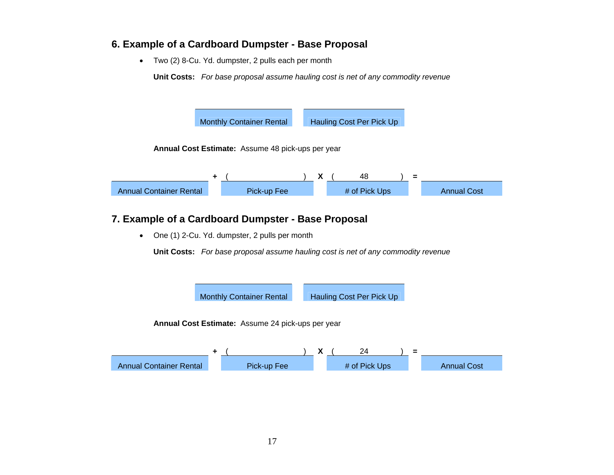## **6. Example of a Cardboard Dumpster - Base Proposal**

• Two (2) 8-Cu. Yd. dumpster, 2 pulls each per month

**Unit Costs:** *For base proposal assume hauling cost is net of any commodity revenue*



# **7. Example of a Cardboard Dumpster - Base Proposal**

• One (1) 2-Cu. Yd. dumpster, 2 pulls per month

**Unit Costs:** *For base proposal assume hauling cost is net of any commodity revenue*

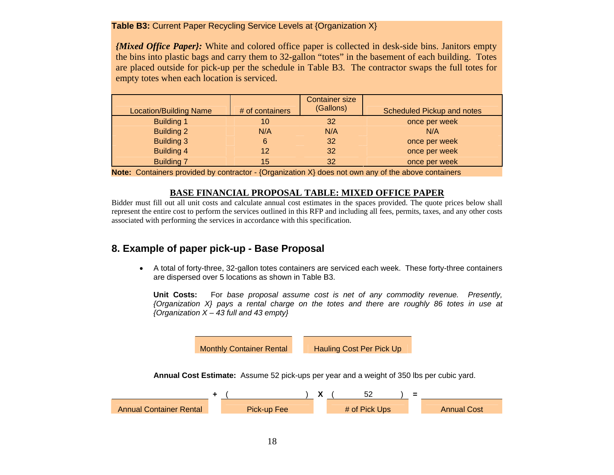#### **Table B3:** Current Paper Recycling Service Levels at {Organization X}

*{Mixed Office Paper}:* White and colored office paper is collected in desk-side bins. Janitors empty the bins into plastic bags and carry them to 32-gallon "totes" in the basement of each building. Totes are placed outside for pick-up per the schedule in Table B3. The contractor swaps the full totes for empty totes when each location is serviced.

| <b>Location/Building Name</b> | # of containers | <b>Container size</b><br>(Gallons) | Scheduled Pickup and notes |
|-------------------------------|-----------------|------------------------------------|----------------------------|
| <b>Building 1</b>             | 10              | 32                                 | once per week              |
| <b>Building 2</b>             | N/A             | N/A                                | N/A                        |
| <b>Building 3</b>             | 6               | 32                                 | once per week              |
| Building 4                    | 12              | 32                                 | once per week              |
| <b>Building 7</b>             | 15              | 32                                 | once per week              |

**Note:** Containers provided by contractor - {Organization X} does not own any of the above containers

#### **BASE FINANCIAL PROPOSAL TABLE: MIXED OFFICE PAPER**

Bidder must fill out all unit costs and calculate annual cost estimates in the spaces provided. The quote prices below shall represent the entire cost to perform the services outlined in this RFP and including all fees, permits, taxes, and any other costs associated with performing the services in accordance with this specification.

# **8. Example of paper pick-up - Base Proposal**

• A total of forty-three, 32-gallon totes containers are serviced each week. These forty-three containers are dispersed over 5 locations as shown in Table B3.

**Unit Costs:** For *base proposal assume cost is net of any commodity revenue. Presently, {Organization X} pays a rental charge on the totes and there are roughly 86 totes in use at {Organization X – 43 full and 43 empty}* 

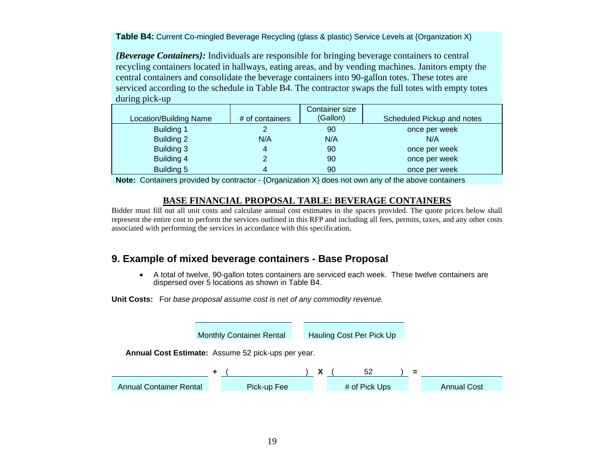**Table B4:** Current Co-mingled Beverage Recycling (glass & plastic) Service Levels at {Organization X}

*{Beverage Containers}:* Individuals are responsible for bringing beverage containers to central recycling containers located in hallways, eating areas, and by vending machines. Janitors empty the central containers and consolidate the beverage containers into 90-gallon totes. These totes are serviced according to the schedule in Table B4. The contractor swaps the full totes with empty totes during pick-up

|                        |                 | Container size |                            |
|------------------------|-----------------|----------------|----------------------------|
| Location/Building Name | # of containers | (Gallon)       | Scheduled Pickup and notes |
| <b>Building 1</b>      |                 | 90             | once per week              |
| Building 2             | N/A             | N/A            | N/A                        |
| Building 3             |                 | 90             | once per week              |
| Building 4             |                 | 90             | once per week              |
| Building 5             |                 | 90             | once per week              |

**Note:** Containers provided by contractor - {Organization X} does not own any of the above containers

### **BASE FINANCIAL PROPOSAL TABLE: BEVERAGE CONTAINERS**

Bidder must fill out all unit costs and calculate annual cost estimates in the spaces provided. The quote prices below shall represent the entire cost to perform the services outlined in this RFP and including all fees, permits, taxes, and any other costs associated with performing the services in accordance with this specification.

# **9. Example of mixed beverage containers - Base Proposal**

• A total of twelve, 90-gallon totes containers are serviced each week. These twelve containers are dispersed over 5 locations as shown in Table B4.

 **Unit Costs:** For *base proposal assume cost is net of any commodity revenue.* 

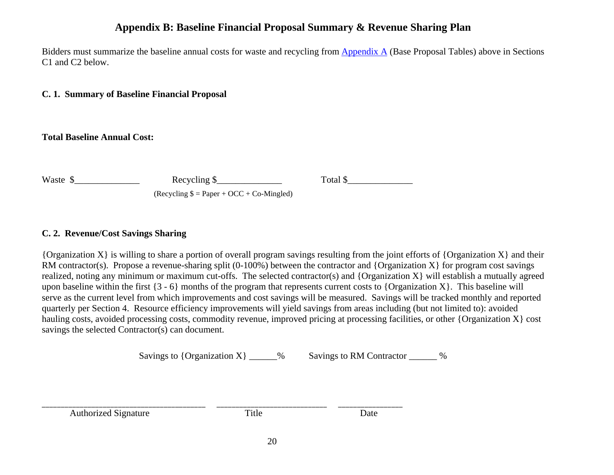# **Appendix B: Baseline Financial Proposal Summary & Revenue Sharing Plan**

Bidders must summarize the baseline annual costs for waste and recycling from Appendix A (Base Proposal Tables) above in Sections C1 and C2 below.

**C. 1. Summary of Baseline Financial Proposal** 

**Total Baseline Annual Cost:** 

Waste \$\_\_\_\_\_\_\_\_\_\_\_\_\_\_ Recycling \$\_\_\_\_\_\_\_\_\_\_\_\_\_\_ Total \$\_\_\_\_\_\_\_\_\_\_\_\_\_\_

 $(Recvcling \$  = Paper + OCC + Co-Mingled)

### **C. 2. Revenue/Cost Savings Sharing**

{Organization X} is willing to share a portion of overall program savings resulting from the joint efforts of {Organization X} and their RM contractor(s). Propose a revenue-sharing split (0-100%) between the contractor and {Organization  $X$ } for program cost savings realized, noting any minimum or maximum cut-offs. The selected contractor(s) and {Organization X} will establish a mutually agreed upon baseline within the first  $\{3 - 6\}$  months of the program that represents current costs to  $\{Organization X\}$ . This baseline will serve as the current level from which improvements and cost savings will be measured. Savings will be tracked monthly and reported quarterly per Section 4. Resource efficiency improvements will yield savings from areas including (but not limited to): avoided hauling costs, avoided processing costs, commodity revenue, improved pricing at processing facilities, or other {Organization X} cost savings the selected Contractor(s) can document.

Savings to  $\{Organization X\}$  % Savings to RM Contractor %

Authorized Signature Title Date

\_\_\_\_\_\_\_\_\_\_\_\_\_\_\_\_\_\_\_\_\_\_\_\_\_\_\_\_\_\_\_\_\_\_\_\_\_\_\_\_\_\_\_ \_\_\_\_\_\_\_\_\_\_\_\_\_\_\_\_\_\_\_\_\_\_\_\_\_\_\_\_\_ \_\_\_\_\_\_\_\_\_\_\_\_\_\_\_\_\_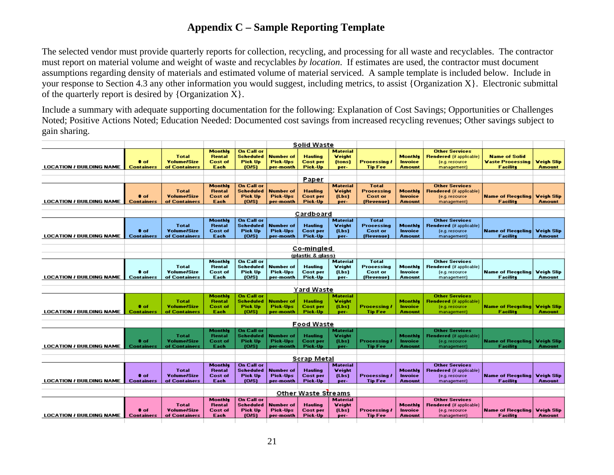# **Appendix C – Sample Reporting Template**

The selected vendor must provide quarterly reports for collection, recycling, and processing for all waste and recyclables. The contractor must report on material volume and weight of waste and recyclables *by location*. If estimates are used, the contractor must document assumptions regarding density of materials and estimated volume of material serviced. A sample template is included below. Include in your response to Section 4.3 any other information you would suggest, including metrics, to assist {Organization X}. Electronic submittal of the quarterly report is desired by  ${O}$ rganization X ${)}$ .

Include a summary with adequate supporting documentation for the following: Explanation of Cost Savings; Opportunities or Challenges Noted; Positive Actions Noted; Education Needed: Documented cost savings from increased recycling revenues; Other savings subject to gain sharing.

|                                 |                   |                    |                          |                                |                  | <b>Solid Waste</b>  |                           |                     |                |                                             |                          |                   |
|---------------------------------|-------------------|--------------------|--------------------------|--------------------------------|------------------|---------------------|---------------------------|---------------------|----------------|---------------------------------------------|--------------------------|-------------------|
|                                 |                   |                    | Monthle                  | <b>On Call or</b>              |                  |                     | Material                  |                     |                | <b>Other Services</b>                       |                          |                   |
|                                 |                   | <b>Total</b>       | <b>Rental</b>            | <b>Scheduled</b>               | <b>Number of</b> | <b>Hauling</b>      | Weight                    |                     | Monthle        | Rendered (if applicable)                    | <b>Name of Solid</b>     |                   |
|                                 | # of              | <b>Volume/Size</b> | <b>Cost of</b>           | <b>Pick Up</b>                 | <b>Pick-Ups</b>  | <b>Cost per</b>     | (tons)                    | <b>Processing /</b> | Invoice        | (e.g. resource                              | <b>Waste Processing</b>  | <b>Veigh Slip</b> |
| <b>LOCATION / BUILDING NAME</b> | Containers        | of Containers      | Each                     | $(0)$ s)                       | per-month        | Pick-Up             | per-                      | <b>Tip Fee</b>      | <b>Amount</b>  | management)                                 | Facility                 | <b>Amount</b>     |
|                                 |                   |                    |                          |                                |                  |                     |                           |                     |                |                                             |                          |                   |
|                                 |                   |                    |                          |                                |                  | Paper               |                           |                     |                |                                             |                          |                   |
|                                 |                   |                    | Monthly                  | <b>On Call or</b>              |                  |                     | Material                  | <b>Total</b>        |                | <b>Other Services</b>                       |                          |                   |
|                                 |                   | <b>Total</b>       | <b>Rental</b>            | <b>Scheduled</b>               | <b>Number of</b> | <b>Hauling</b>      | Veight                    | <b>Processing</b>   | Monthly        | Rendered (if applicable)                    |                          |                   |
|                                 | # of              | <b>Volume/Size</b> | <b>Cost of</b>           | <b>Pick Up</b>                 | <b>Pick-Ups</b>  | <b>Cost per</b>     | [Lbs]                     | <b>Cost or</b>      | Invoice        | (e.g. resource                              | <b>Name of Recycling</b> | Weigh Slip        |
| <b>LOCATION / BUILDING NAME</b> | <b>Containers</b> | of Containers      | Each                     | (0.5)                          | per-month        | Pick-Up             | per-                      | (Revenue)           | <b>Amount</b>  | management)                                 | Facility                 | <b>Amount</b>     |
|                                 |                   |                    |                          |                                |                  |                     |                           |                     |                |                                             |                          |                   |
|                                 |                   |                    |                          |                                |                  | Cardboard           |                           |                     |                |                                             |                          |                   |
|                                 |                   |                    | Monthly                  | <b>On Call or</b>              |                  |                     | <b>Material</b>           | <b>Total</b>        |                | <b>Other Services</b>                       |                          |                   |
|                                 |                   | <b>Total</b>       | <b>Rental</b>            | <b>Scheduled</b>               | Number of        | <b>Hauling</b>      | Veight                    | Processing          | Monthly        | Rendered (if applicable)                    |                          |                   |
|                                 | # of              | <b>Volume/Size</b> | <b>Cost of</b>           | <b>Pick Up</b>                 | <b>Pick-Ups</b>  | <b>Cost per</b>     | [Lbs]                     | <b>Cost or</b>      | Invoice        | (e.g. resource)                             | <b>Name of Rececling</b> | <b>Veigh Slip</b> |
| <b>LOCATION / BUILDING NAME</b> | Containers        | of Containers      | Each                     | [O/S]                          | per-month        | Pick-Up             | per-                      | (Revenue)           | <b>Amount</b>  | management)                                 | Facility                 | <b>Amount</b>     |
|                                 |                   |                    |                          |                                |                  |                     |                           |                     |                |                                             |                          |                   |
|                                 |                   |                    |                          |                                |                  | Co-mingled          |                           |                     |                |                                             |                          |                   |
|                                 |                   |                    |                          |                                |                  | (plastic & glass)   |                           |                     |                |                                             |                          |                   |
|                                 |                   |                    | Monthly                  | <b>On Call or</b>              |                  |                     | <b>Material</b>           | <b>Total</b>        |                | <b>Other Services</b>                       |                          |                   |
|                                 |                   | <b>Total</b>       | <b>Rental</b>            | <b>Scheduled</b>               | <b>Number of</b> | <b>Hauling</b>      | Veight                    | Processing          | Monthly        | Rendered (if applicable)                    |                          |                   |
|                                 | # of              | <b>Volume/Size</b> | <b>Cost of</b>           | <b>Pick Up</b>                 | Pick-Ups         | <b>Cost per</b>     | [Lbs]                     | <b>Cost or</b>      | Invoice        | (e.g. resource                              | <b>Name of Recycling</b> | <b>Veigh Slip</b> |
| <b>LOCATION / BUILDING NAME</b> | Containers        | of Containers      | Each                     | [O/S]                          | per-month        | Pick-Up             | per-                      | (Revenue)           | Amount         | management)                                 | <b>Facility</b>          | <b>Amount</b>     |
|                                 |                   |                    |                          |                                |                  |                     |                           |                     |                |                                             |                          |                   |
|                                 |                   |                    |                          |                                |                  | <b>Yard Waste</b>   |                           |                     |                |                                             |                          |                   |
|                                 |                   |                    | Monthle                  | <b>On Call or</b>              |                  |                     | <b>Material</b>           |                     |                | <b>Other Services</b>                       |                          |                   |
|                                 |                   | <b>Total</b>       | <b>Rental</b>            | <b>Scheduled</b>               | Number of        | <b>Hauling</b>      | Weight                    |                     | Monthle        | Rendered (if applicable)                    |                          |                   |
|                                 | # of              | <b>Volume/Size</b> | <b>Cost of</b>           | <b>Pick Up</b>                 | <b>Pick-Ups</b>  | <b>Cost per</b>     | [Lbs]                     | <b>Processing</b>   | Invoice        | (e.g. resource                              | <b>Name of Recycling</b> | <b>Veigh Slip</b> |
| <b>LOCATION / BUILDING NAME</b> | Containers        | of Containers      | Each                     | (O/S)                          | per-month        | Pick-Up             | per-                      | <b>Tip Fee</b>      | <b>Amount</b>  | management)                                 | <b>Facility</b>          | <b>Amount</b>     |
|                                 |                   |                    |                          |                                |                  | <b>Food Waste</b>   |                           |                     |                |                                             |                          |                   |
|                                 |                   |                    |                          |                                |                  |                     |                           |                     |                |                                             |                          |                   |
|                                 |                   | <b>Total</b>       | Monthly<br><b>Rental</b> | <b>On Call or</b><br>Scheduled | Number of        | <b>Hauling</b>      | <b>Material</b><br>Weight |                     | Monthle        | <b>Other Services</b>                       |                          |                   |
|                                 | # of              | <b>Volume/Size</b> | Cost of                  | <b>Pick Up</b>                 | <b>Pick-Ups</b>  | <b>Cost per</b>     | (Lbs)                     | <b>Processing</b>   | Invoice        | Rendered (if applicable)<br>(e.g. resource) | <b>Name of Recycling</b> | <b>Veigh Slip</b> |
| <b>LOCATION / BUILDING NAME</b> | Containers        | of Containers      | Each                     | $(0)$ s                        | per-month        | Pick-Up             | per-                      | <b>Tip Fee</b>      | Amount         | management)                                 | <b>Facility</b>          | <b>Amount</b>     |
|                                 |                   |                    |                          |                                |                  |                     |                           |                     |                |                                             |                          |                   |
|                                 |                   |                    |                          |                                |                  | Scrap Metal         |                           |                     |                |                                             |                          |                   |
|                                 |                   |                    | Monthly                  | <b>On Call or</b>              |                  |                     | <b>Material</b>           |                     |                | <b>Other Services</b>                       |                          |                   |
|                                 |                   | <b>Total</b>       | <b>Rental</b>            | <b>Scheduled</b>               | <b>Number of</b> | <b>Hauling</b>      | <b>Veight</b>             |                     | Monthly        | Rendered (if applicable)                    |                          |                   |
|                                 | <b>≢</b> of       | <b>Volume/Size</b> | <b>Cost of</b>           | Pick Up                        | Pick-Ups         | <b>Cost per</b>     | (Lbs)                     | <b>Processing /</b> | Invoice        | (e.g. resource)                             | <b>Name of Recycling</b> | <b>Veigh Slip</b> |
| <b>LOCATION / BUILDING NAME</b> | <b>Containers</b> | of Containers      | Each                     | (0)                            | per-month        | Pick-Up             | per-                      | <b>Tip Fee</b>      | <b>Amount</b>  | management)                                 | Facility                 | <b>Amount</b>     |
|                                 |                   |                    |                          |                                |                  |                     |                           |                     |                |                                             |                          |                   |
|                                 |                   |                    |                          |                                |                  | Other Waste Streams |                           |                     |                |                                             |                          |                   |
|                                 |                   |                    | Monthly                  | <b>On Call or</b>              |                  |                     | <b>Material</b>           |                     |                | <b>Other Services</b>                       |                          |                   |
|                                 |                   | <b>Total</b>       | <b>Rental</b>            | <b>Scheduled</b>               | <b>Number of</b> | <b>Hauling</b>      | Veight                    |                     | <b>Monthle</b> | Rendered (if applicable)                    |                          |                   |
|                                 | ‡ of              | <b>Volume/Size</b> | <b>Cost of</b>           | <b>Pick Up</b>                 | <b>Pick-Ups</b>  | <b>Cost per</b>     | [Lbs]                     | <b>Processing /</b> | Invoice        | (e.g. resource                              | <b>Name of Recycling</b> | <b>Veigh Slip</b> |
| <b>LOCATION / BUILDING NAME</b> | <b>Containers</b> | of Containers      | Each                     | $(0)$ s                        | per-month        | Pick-Up             | per-                      | <b>Tip Fee</b>      | <b>Amount</b>  | management)                                 | Facility                 | <b>Amount</b>     |
|                                 |                   |                    |                          |                                |                  |                     |                           |                     |                |                                             |                          |                   |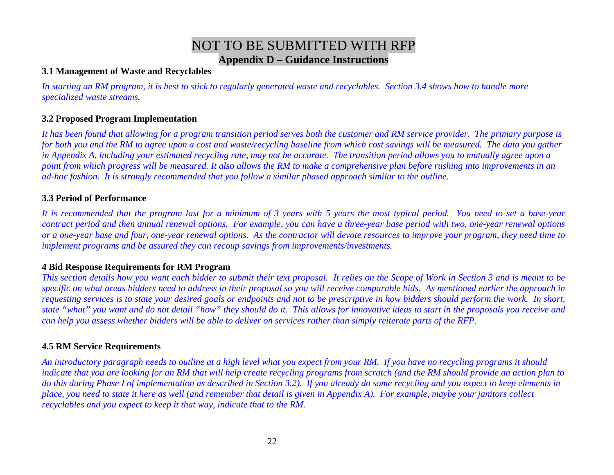# NOT TO BE SUBMITTED WITH RFP **Appendix D – Guidance Instructions**

### **3.1 Management of Waste and Recyclables**

*In starting an RM program, it is best to stick to regularly generated waste and recyclables. Section 3.4 shows how to handle more specialized waste streams.* 

### **3.2 Proposed Program Implementation**

*It has been found that allowing for a program transition period serves both the customer and RM service provider. The primary purpose is for both you and the RM to agree upon a cost and waste/recycling baseline from which cost savings will be measured. The data you gather* in Appendix A, including your estimated recycling rate, may not be accurate. The transition period allows you to mutually agree upon a *point from which progress will be measured. It also allows the RM to make a comprehensive plan before rushing into improvements in an ad-hoc fashion. It is strongly recommended that you follow a similar phased approach similar to the outline.* 

### **3.3 Period of Performance**

*It is recommended that the program last for a minimum of 3 years with 5 years the most typical period. You need to set a base-year contract period and then annual renewal options. For example, you can have a three-year base period with two, one-year renewal options or a one-year base and four, one-year renewal options. As the contractor will devote resources to improve your program, they need time to implement programs and be assured they can recoup savings from improvements/investments.* 

### **4 Bid Response Requirements for RM Program**

*This section details how you want each bidder to submit their text proposal. It relies on the Scope of Work in Section 3 and is meant to be specific on what areas bidders need to address in their proposal so you will receive comparable bids. As mentioned earlier the approach in requesting services is to state your desired goals or endpoints and not to be prescriptive in how bidders should perform the work. In short, state "what" you want and do not detail "how" they should do it. This allows for innovative ideas to start in the proposals you receive and can help you assess whether bidders will be able to deliver on services rather than simply reiterate parts of the RFP.* 

### **4.5 RM Service Requirements**

*An introductory paragraph needs to outline at a high level what you expect from your RM. If you have no recycling programs it should indicate that you are looking for an RM that will help create recycling programs from scratch (and the RM should provide an action plan to do this during Phase I of implementation as described in Section 3.2). If you already do some recycling and you expect to keep elements in place, you need to state it here as well (and remember that detail is given in Appendix A). For example, maybe your janitors collect recyclables and you expect to keep it that way, indicate that to the RM.*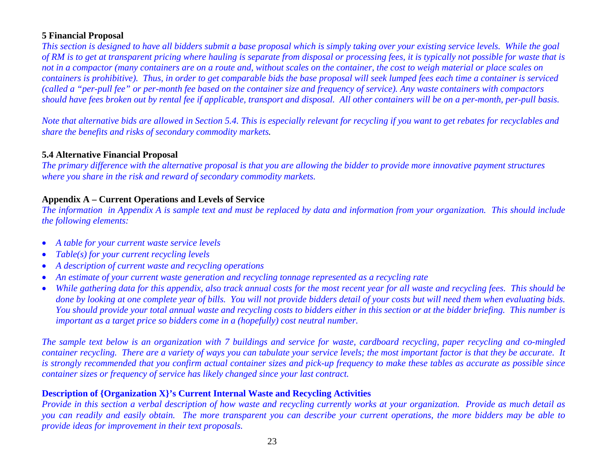### **5 Financial Proposal**

*This section is designed to have all bidders submit a base proposal which is simply taking over your existing service levels. While the goal of RM is to get at transparent pricing where hauling is separate from disposal or processing fees, it is typically not possible for waste that is not in a compactor (many containers are on a route and, without scales on the container, the cost to weigh material or place scales on containers is prohibitive). Thus, in order to get comparable bids the base proposal will seek lumped fees each time a container is serviced (called a "per-pull fee" or per-month fee based on the container size and frequency of service). Any waste containers with compactors should have fees broken out by rental fee if applicable, transport and disposal. All other containers will be on a per-month, per-pull basis.* 

*Note that alternative bids are allowed in Section 5.4. This is especially relevant for recycling if you want to get rebates for recyclables and share the benefits and risks of secondary commodity markets.* 

### **5.4 Alternative Financial Proposal**

*The primary difference with the alternative proposal is that you are allowing the bidder to provide more innovative payment structures where you share in the risk and reward of secondary commodity markets.* 

### **Appendix A – Current Operations and Levels of Service**

*The information in Appendix A is sample text and must be replaced by data and information from your organization. This should include the following elements:* 

- *A table for your current waste service levels*
- •*Table(s) for your current recycling levels*
- •*A description of current waste and recycling operations*
- •*An estimate of your current waste generation and recycling tonnage represented as a recycling rate*
- • *While gathering data for this appendix, also track annual costs for the most recent year for all waste and recycling fees. This should be done by looking at one complete year of bills. You will not provide bidders detail of your costs but will need them when evaluating bids. You should provide your total annual waste and recycling costs to bidders either in this section or at the bidder briefing. This number is important as a target price so bidders come in a (hopefully) cost neutral number.*

*The sample text below is an organization with 7 buildings and service for waste, cardboard recycling, paper recycling and co-mingled container recycling. There are a variety of ways you can tabulate your service levels; the most important factor is that they be accurate. It is strongly recommended that you confirm actual container sizes and pick-up frequency to make these tables as accurate as possible since container sizes or frequency of service has likely changed since your last contract.* 

### **Description of {Organization X}'s Current Internal Waste and Recycling Activities**

*Provide in this section a verbal description of how waste and recycling currently works at your organization. Provide as much detail as you can readily and easily obtain. The more transparent you can describe your current operations, the more bidders may be able to provide ideas for improvement in their text proposals.*